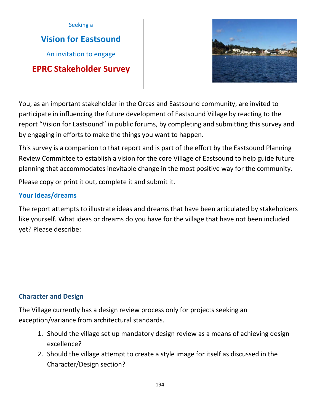

# **Vision for Eastsound**

An invitation to engage

**EPRC Stakeholder Survey**



You, as an important stakeholder in the Orcas and Eastsound community, are invited to participate in influencing the future development of Eastsound Village by reacting to the report "Vision for Eastsound" in public forums, by completing and submitting this survey and by engaging in efforts to make the things you want to happen.

This survey is a companion to that report and is part of the effort by the Eastsound Planning Review Committee to establish a vision for the core Village of Eastsound to help guide future planning that accommodates inevitable change in the most positive way for the community.

Please copy or print it out, complete it and submit it.

#### **Your Ideas/dreams**

The report attempts to illustrate ideas and dreams that have been articulated by stakeholders like yourself. What ideas or dreams do you have for the village that have not been included yet? Please describe:

## **Character and Design**

The Village currently has a design review process only for projects seeking an exception/variance from architectural standards.

- 1. Should the village set up mandatory design review as a means of achieving design excellence?
- 2. Should the village attempt to create a style image for itself as discussed in the Character/Design section?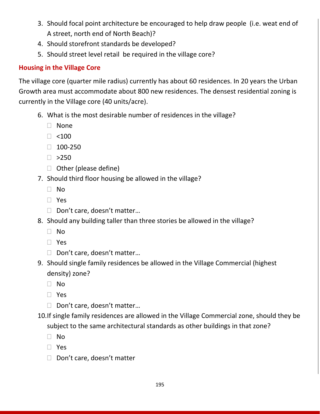- 3. Should focal point architecture be encouraged to help draw people (i.e. weat end of A street, north end of North Beach)?
- 4. Should storefront standards be developed?
- 5. Should street level retail be required in the village core?

# **Housing in the Village Core**

The village core (quarter mile radius) currently has about 60 residences. In 20 years the Urban Growth area must accommodate about 800 new residences. The densest residential zoning is currently in the Village core (40 units/acre).

- 6. What is the most desirable number of residences in the village?
	- None
	- $\Box$  <100
	- $\Box$  100-250
	- $\Box >250$
	- □ Other (please define)
- 7. Should third floor housing be allowed in the village?
	- No
	- Yes
	- □ Don't care, doesn't matter...
- 8. Should any building taller than three stories be allowed in the village?
	- No
	- Yes
	- □ Don't care, doesn't matter...
- 9. Should single family residences be allowed in the Village Commercial (highest density) zone?
	- No
	- Yes
	- □ Don't care, doesn't matter...
- 10.If single family residences are allowed in the Village Commercial zone, should they be subject to the same architectural standards as other buildings in that zone?
	- No
	- Yes
	- D Don't care, doesn't matter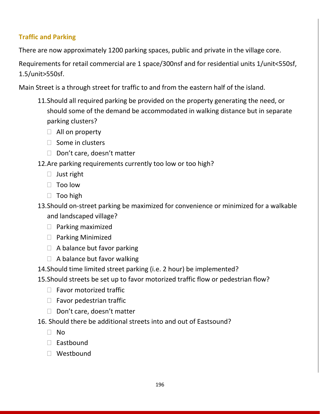# **Traffic and Parking**

There are now approximately 1200 parking spaces, public and private in the village core.

Requirements for retail commercial are 1 space/300nsf and for residential units 1/unit<550sf, 1.5/unit>550sf.

Main Street is a through street for traffic to and from the eastern half of the island.

- 11.Should all required parking be provided on the property generating the need, or should some of the demand be accommodated in walking distance but in separate parking clusters?
	- $\Box$  All on property
	- $\Box$  Some in clusters
	- $\Box$  Don't care, doesn't matter
- 12.Are parking requirements currently too low or too high?
	- $\Box$  Just right
	- $\Box$  Too low
	- $\Box$  Too high

13.Should on-street parking be maximized for convenience or minimized for a walkable and landscaped village?

- $\Box$  Parking maximized
- $\Box$  Parking Minimized
- $\Box$  A balance but favor parking
- $\Box$  A balance but favor walking
- 14.Should time limited street parking (i.e. 2 hour) be implemented?
- 15.Should streets be set up to favor motorized traffic flow or pedestrian flow?
	- $\Box$  Favor motorized traffic
	- $\Box$  Favor pedestrian traffic
	- D Don't care, doesn't matter
- 16. Should there be additional streets into and out of Eastsound?
	- $\Box$  No
	- $\Box$  Eastbound
	- Westbound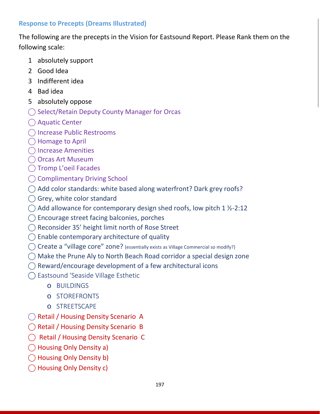## **Response to Precepts (Dreams Illustrated)**

The following are the precepts in the Vision for Eastsound Report. Please Rank them on the following scale:

- 1 absolutely support
- 2 Good Idea
- 3 Indifferent idea
- 4 Bad idea
- 5 absolutely oppose
- ◯ Select/Retain Deputy County Manager for Orcas
- ⃝ Aquatic Center
- ⃝ Increase Public Restrooms
- ◯ Homage to April
- ⃝ Increase Amenities
- ◯ Orcas Art Museum
- ⃝ Tromp L'oeil Facades
- ◯ Complimentary Driving School
- ◯ Add color standards: white based along waterfront? Dark grey roofs?
- $\bigcap$  Grey, white color standard
- $\bigcirc$  Add allowance for contemporary design shed roofs, low pitch 1 ½-2:12
- $\bigcirc$  Encourage street facing balconies, porches
- ⃝ Reconsider 35' height limit north of Rose Street
- $\bigcirc$  Enable contemporary architecture of quality
- ◯ Create a "village core" zone? (essentially exists as Village Commercial so modify?)
- $\bigcirc$  Make the Prune Aly to North Beach Road corridor a special design zone
- $\bigcap$  Reward/encourage development of a few architectural icons
- ⃝ Eastsound 'Seaside Village Esthetic
	- o BUILDINGS
	- o STOREFRONTS
	- o STREETSCAPE
- ◯ Retail / Housing Density Scenario A
- ◯ Retail / Housing Density Scenario B
- ⃝ Retail / Housing Density Scenario C
- ⃝ Housing Only Density a)
- ⃝ Housing Only Density b)
- ◯ Housing Only Density c)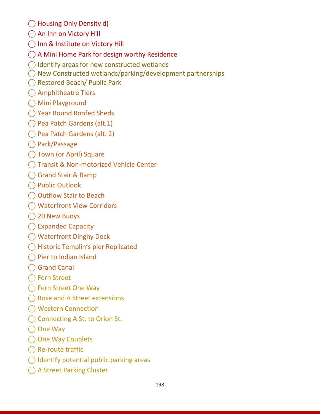- ⃝ Housing Only Density d)
- ◯ An Inn on Victory Hill
- ◯ Inn & Institute on Victory Hill
- $\bigcap$  A Mini Home Park for design worthy Residence
- $\bigcirc$  Identify areas for new constructed wetlands
- $\bigcap$  New Constructed wetlands/parking/development partnerships
- ⃝ Restored Beach/ Public Park
- ⃝ Amphitheatre Tiers
- ⃝ Mini Playground
- ⃝ Year Round Roofed Sheds
- ⃝ Pea Patch Gardens (alt.1)
- ⃝ Pea Patch Gardens (alt. 2)
- ⃝ Park/Passage
- ◯ Town (or April) Square
- ◯ Transit & Non-motorized Vehicle Center
- ◯ Grand Stair & Ramp
- ⃝ Public Outlook
- ◯ Outflow Stair to Beach
- ⃝ Waterfront View Corridors
- ◯ 20 New Buoys
- ◯ Expanded Capacity
- ⃝ Waterfront Dinghy Dock
- ⃝ Historic Templin's pier Replicated
- ◯ Pier to Indian Island
- ◯ Grand Canal
- ◯ Fern Street
- ◯ Fern Street One Way
- ◯ Rose and A Street extensions
- ⃝ Western Connection
- ◯ Connecting A St. to Orion St.
- ◯ One Way
- ◯ One Way Couplets
- ◯ Re-route traffic
- $\bigcirc$  Identify potential public parking areas
- ◯ A Street Parking Cluster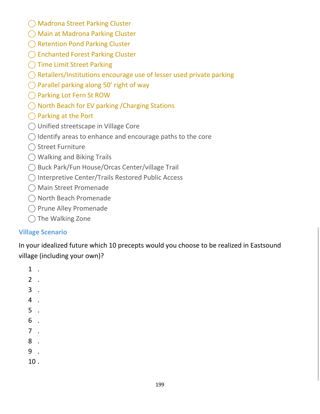- ◯ Madrona Street Parking Cluster
- ⃝ Main at Madrona Parking Cluster
- ◯ Retention Pond Parking Cluster
- ◯ Enchanted Forest Parking Cluster
- ◯ Time Limit Street Parking
- $\bigcirc$  Retailers/Institutions encourage use of lesser used private parking
- $\bigcirc$  Parallel parking along 50' right of way
- ◯ Parking Lot Fern St ROW
- ◯ North Beach for EV parking / Charging Stations
- ⃝ Parking at the Port
- ⃝ Unified streetscape in Village Core
- $\bigcirc$  Identify areas to enhance and encourage paths to the core
- ◯ Street Furniture
- ⃝ Walking and Biking Trails
- ⃝ Buck Park/Fun House/Orcas Center/village Trail
- ⃝ Interpretive Center/Trails Restored Public Access
- ⃝ Main Street Promenade
- ⃝ North Beach Promenade
- ⃝ Prune Alley Promenade
- ◯ The Walking Zone

## **Village Scenario**

In your idealized future which 10 precepts would you choose to be realized in Eastsound village (including your own)?

1 . 2 . 3 . 4 . 5 . 6 . 7 . 8 . 9 . 10 .